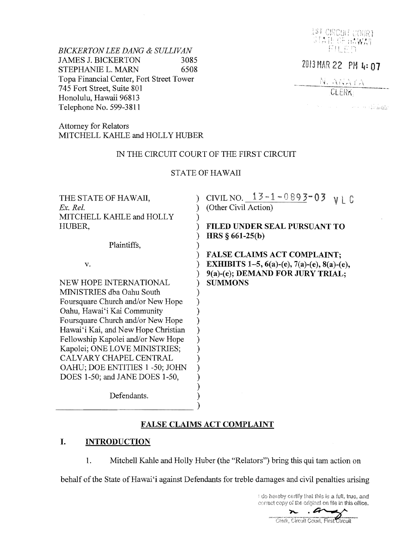

**The Second Community of Annally** 

*BICKERTON LEE DANG & SULLIVAN* FILE DESCRIPTION **FILE** JAMES J. BICKERTON 3085<br>
STEPHANIE L. MARN 6508<br>
Topa Financial Center, Fort Street Tower<br>
745 Fort Street, Suite 801<br>
CLERK Topa Financial Center, Fort Street Tower 745 Fort Street, Suite 801 Honolulu, Hawaii 96813 Telephone No. 599-3811

Attorney for Relators MITCHELL KAHLE and HOLLY HUBER

# IN THE CIRCUIT COURT OF THE FIRST CIRCUIT

# STATE OF HAWAII

| THE STATE OF HAWAII,                | CIVIL NO. $13 - 1 - 0893 = 03$                     |
|-------------------------------------|----------------------------------------------------|
| $Ex.$ Rel.                          | (Other Civil Action)                               |
| MITCHELL KAHLE and HOLLY            |                                                    |
| HUBER,                              | FILED UNDER SEAL PURSUANT TO                       |
|                                     | HRS $§$ 661-25(b)                                  |
| Plaintiffs,                         |                                                    |
|                                     | <b>FALSE CLAIMS ACT COMPLAINT;</b>                 |
| v.                                  | <b>EXHIBITS</b> 1-5, 6(a)-(e), 7(a)-(e), 8(a)-(e), |
|                                     | 9(a)-(e); DEMAND FOR JURY TRIAL;                   |
| NEW HOPE INTERNATIONAL              | <b>SUMMONS</b>                                     |
| MINISTRIES dba Oahu South           |                                                    |
| Foursquare Church and/or New Hope   |                                                    |
| Oahu, Hawai'i Kai Community         |                                                    |
| Foursquare Church and/or New Hope   |                                                    |
| Hawai'i Kai, and New Hope Christian |                                                    |
| Fellowship Kapolei and/or New Hope  |                                                    |
| Kapolei; ONE LOVE MINISTRIES;       |                                                    |
| CALVARY CHAPEL CENTRAL              |                                                    |
| OAHU; DOE ENTITIES 1 -50; JOHN      |                                                    |
| DOES 1-50; and JANE DOES 1-50,      |                                                    |
|                                     |                                                    |
| Defendants.                         |                                                    |
|                                     |                                                    |
|                                     |                                                    |

# **FALSE CLAIMS ACT COMPLAINT**

# **I. INTRODUCTION**

1. Mitchell Kahle and Holly Huber (the "Relators") bring this qui tam action on

behalf of the State of Hawai'i against Defendants for treble damages and civil penalties arising

I do hereby certify that this is a full, true, and correct copy of the original on file in this office.

n.a mark. Clerk, Circuit Court, First Circuit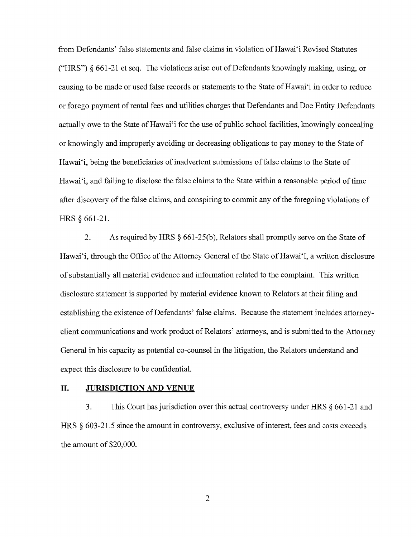from Defendants' false statements and false claims in violation of Hawai'i Revised Statutes ("HRS") § 661-21 et seq. The violations arise out of Defendants knowingly making, using, or causing to be made or used false records or statements to the State of Hawai'i in order to reduce or forego payment of rental fees and utilities charges that Defendants and Doe Entity Defendants actually owe to the State of Hawai'i for the use of public school facilities, knowingly concealing or knowingly and improperly avoiding or decreasing obligations to pay money to the State of Hawai'i, being the beneficiaries of inadvertent submissions of false claims to the State of Hawai'i, and failing to disclose the false claims to the State within a reasonable period of time after discovery of the false claims, and conspiring to commit any of the foregoing violations of HRS § 661-21.

2. As required by HRS § 661-25(b), Relators shall promptly serve on the State of Hawai'i, through the Office of the Attorney General of the State of Hawai'I, a written disclosure of substantially all material evidence and information related to the complaint. This written disclosure statement is supported by material evidence known to Relators at their filing and establishing the existence of Defendants' false claims. Because the statement includes attorneyclient communications and work product of Relators' attorneys, and is submitted to the Attorney General in his capacity as potential co-counsel in the litigation, the Relators understand and expect this disclosure to be confidential.

#### **II. JURISDICTION AND VENUE**

3. This Court has jurisdiction over this actual controversy under HRS § 661-21 and HRS  $\S$  603-21.5 since the amount in controversy, exclusive of interest, fees and costs exceeds the amount of \$20,000.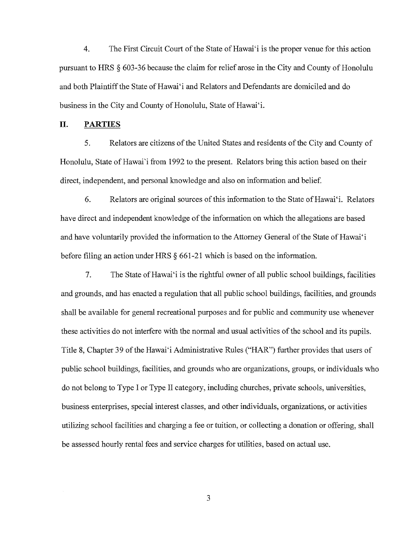4. The First Circuit Court of the State of Hawai'i is the proper venue for this action pursuant to HRS § 603-36 because the claim for relief arose in the City and County of Honolulu and both Plaintiff the State of Hawai'i and Relators and Defendants are domiciled and do business in the City and County of Honolulu, State of Hawai'i.

#### **II. PARTIES**

5. Relators are citizens of the United States and residents of the City and County of Honolulu, State of Hawai'i from 1992 to the present. Relators bring this action based on their direct, independent, and personal knowledge and also on information and belief.

6. Relators are original sources of this information to the State ofHawai'i. Relators have direct and independent knowledge of the information on which the allegations are based and have voluntarily provided the information to the Attorney General of the State of Hawai'i before filing an action under HRS § 661-21 which is based on the information.

7. The State of Hawai'i is the rightful owner of all public school buildings, facilities and grounds, and has enacted a regulation that all public school buildings, facilities, and grounds shall be available for general recreational purposes and for public and community use whenever these activities do not interfere with the normal and usual activities of the school and its pupils. Title 8, Chapter 39 of the Hawai'i Administrative Rules ("HAR") further provides that users of public school buildings, facilities, and grounds who are organizations, groups, or individuals who do not belong to Type I or Type 11 category, including churches, private schools, universities, business enterprises, special interest classes, and other individuals, organizations, or activities utilizing school facilities and charging a fee or tuition, or collecting a donation or offering, shall be assessed hourly rental fees and service charges for utilities, based on actual use.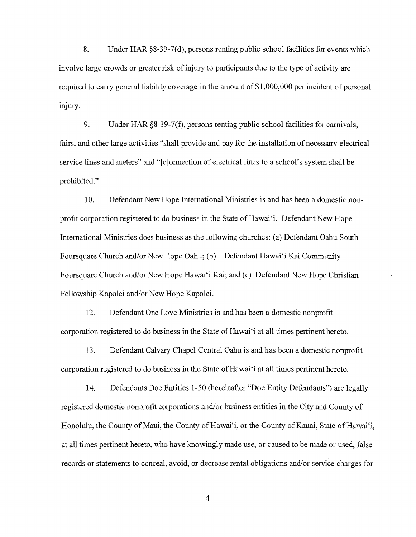8. Under HAR §8-39-7(d), persons renting public school facilities for events which involve large crowds or greater risk of injury to participants due to the type of activity are required to carry general liability coverage in the amount of \$1,000,000 per incident of personal injury.

9. Under HAR §8-39-7(f), persons renting public school facilities for carnivals, fairs, and other large activities "shall provide and pay for the installation of necessary electrical service lines and meters" and "[c]onnection of electrical lines to a school's system shall be prohibited."

10. Defendant New Hope International Ministries is and has been a domestic nonprofit corporation registered to do business in the State of Hawai'i. Defendant New Hope International Ministries does business as the following churches: (a) Defendant Oahu South Foursquare Church and/or New Hope Oahu; (b) Defendant Hawai'i Kai Community Foursquare Church and/or New Hope Hawai'i Kai; and (c) Defendant New Hope Christian Fellowship Kapolei and/or New Hope Kapolei.

12. Defendant One Love Ministries is and has been a domestic nonprofit corporation registered to do business in the State ofHawai'i at all times pertinent hereto.

13. Defendant Calvary Chapel Central Oahu is and has been a domestic nonprofit corporation registered to do business in the State of Hawai'i at all times pertinent hereto.

14. Defendants Doe Entities 1-50 (hereinafter "Doe Entity Defendants") are legally registered domestic nonprofit corporations and/or business entities in the City and County of Honolulu, the County of Maui, the County of Hawai'i, or the County of Kauai, State of Hawai'i, at all times pertinent hereto, who have knowingly made use, or caused to be made or used, false records or statements to conceal, avoid, or decrease rental obligations and/or service charges for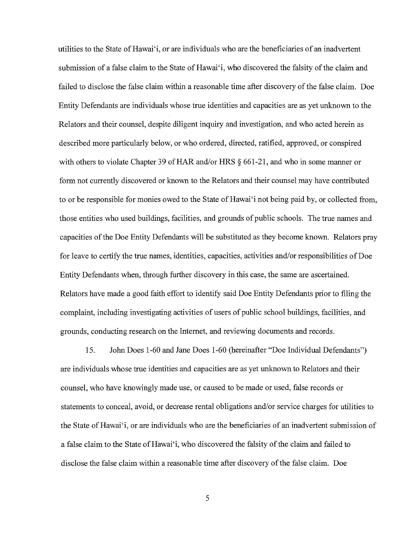utilities to the State of Hawai'i, or are individuals who are the beneficiaries of an inadvertent submission of a false claim to the State of Hawai'i, who discovered the falsity of the claim and failed to disclose the false claim within a reasonable time after discovery of the false claim. Doe Entity Defendants are individuals whose true identities and capacities are as yet unknown to the Relators and their counsel, despite diligent inquiry and investigation, and who acted herein as described more particularly below, or who ordered, directed, ratified, approved, or conspired with others to violate Chapter 39 of HAR and/or HRS  $\S$  661-21, and who in some manner or form not currently discovered or known to the Relators and their counsel may have contributed to or be responsible for monies owed to the State of Hawai'i not being paid by, or collected from, those entities who used buildings, facilities, and grounds of public schools. The true names and capacities of the Doe Entity Defendants will be substituted as they become known. Relators pray for leave to certify the true names, identities, capacities, activities and/or responsibilities of Doe Entity Defendants when, through further discovery in this case, the same are ascertained. Relators have made a good faith effort to identify said Doe Entity Defendants prior to filing the complaint, including investigating activities of users of public school buildings, facilities, and grounds, conducting research on the Internet, and reviewing documents and records.

15. John Does 1-60 and Jane Does 1-60 (hereinafter "Doe Individual Defendants") are individuals whose true identities and capacities are as yet unknown to Relators and their counsel, who have knowingly made use, or caused to be made or used, false records or statements to conceal, avoid, or decrease rental obligations and/or service charges for utilities to the State of Hawai'i, or are individuals who are the beneficiaries of an inadvertent submission of a false claim to the State of Hawai'i, who discovered the falsity of the claim and failed to disclose the false claim within a reasonable time after discovery of the false claim. Doe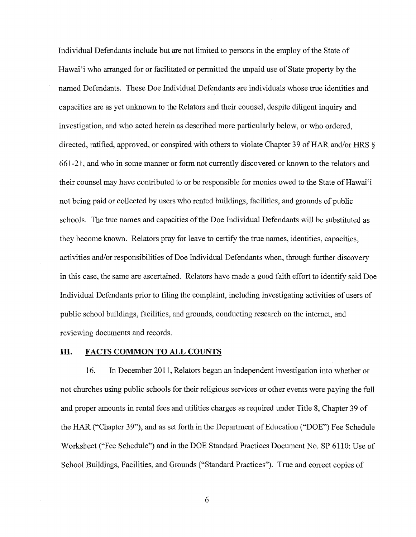Individual Defendants include but are not limited to persons in the employ of the State of Hawai'i who arranged for or facilitated or permitted the unpaid use of State property by the named Defendants. These Doe Individual Defendants are individuals whose true identities and capacities are as yet unknown to the Relators and their counsel, despite diligent inquiry and investigation, and who acted herein as described more particularly below, or who ordered, directed, ratified, approved, or conspired with others to violate Chapter 39 of HAR and/or HRS § 661-21, and who in some manner or form not currently discovered or known to the relators and their counsel may have contributed to or be responsible for monies owed to the State of Hawai'i not being paid or collected by users who rented buildings, facilities, and grounds of public schools. The true names and capacities of the Doe Individual Defendants will be substituted as they become known. Relators pray for leave to certify the true names, identities, capacities, activities and/or responsibilities of Doe Individual Defendants when, through further discovery in this case, the same are ascertained. Relators have made a good faith effort to identify said Doe Individual Defendants prior to filing the complaint, including investigating activities of users of public school buildings, facilities, and grounds, conducting research on the internet, and reviewing documents and records.

## **Ill. FACTS COMMON TO ALL COUNTS**

16. In December 2011, Relators began an independent investigation into whether or not churches using public schools for their religious services or other events were paying the full and proper amounts in rental fees and utilities charges as required under Title 8, Chapter 39 of the HAR ("Chapter 39"), and as set forth in the Department of Education ("DOE") Fee Schedule Worksheet ("Fee Schedule") and in the DOE Standard Practices Document No. SP 6110: Use of School Buildings, Facilities, and Grounds ("Standard Practices"). True and correct copies of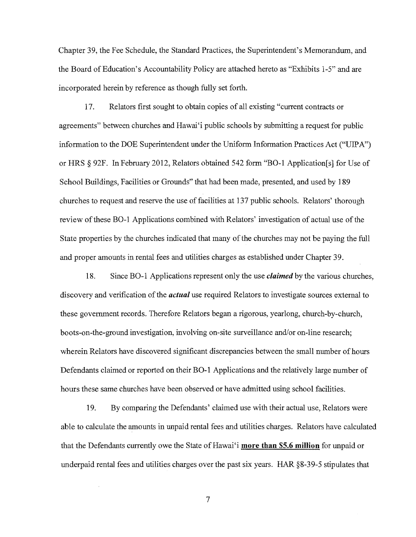Chapter 39, the Fee Schedule, the Standard Practices, the Superintendent's Memorandum, and the Board of Education's Accountability Policy are attached hereto as "Exhibits 1-5" and are incorporated herein by reference as though fully set forth.

17. Relators first sought to obtain copies of all existing "current contracts or agreements" between churches and Hawai'i public schools by submitting a request for public information to the DOE Superintendent under the Uniform Information Practices Act ("UIP A") or HRS § 92F. In February 2012, Relators obtained 542 form "BO-l Application[s] for Use of School Buildings, Facilities or Grounds" that had been made, presented, and used by 189 churches to request and reserve the use of facilities at 137 public schools. Relators' thorough review of these BO-l Applications combined with Relators' investigation of actual use of the State properties by the churches indicated that many of the churches may not be paying the full and proper amounts in rental fees and utilities charges as established under Chapter 39.

18. Since BO-1 Applications represent only the use *claimed* by the various churches, discovery and verification of the *actual* use required Relators to investigate sources external to these government records. Therefore Relators began a rigorous, yearlong, church-by-church, boots-on-the-ground investigation, involving on-site surveillance and/or on-line research; wherein Relators have discovered significant discrepancies between the small number of hours Defendants claimed or reported on their BO-l Applications and the relatively large number of hours these same churches have been observed or have admitted using school facilities.

19. By comparing the Defendants' claimed use with their actual use, Relators were able to calculate the amounts in unpaid rental fees and utilities charges. Relators have calculated that the Defendants currently owe the State of Hawai'i **more** than \$5.6 **million** for unpaid or underpaid rental fees and utilities charges over the past six years. HAR §8-39-5 stipulates that

7

J.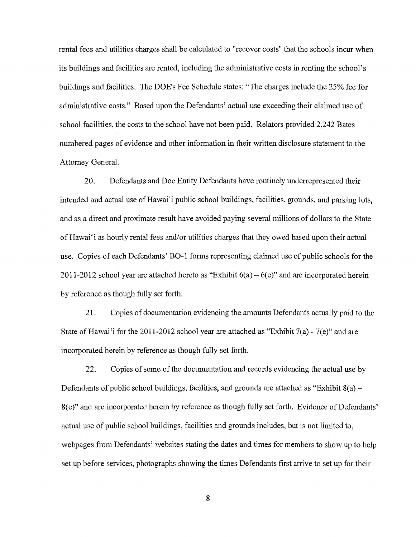rental fees and utilities charges shall be calculated to "recover costs" that the schools incur when its buildings and facilities are rented, including the administrative costs in renting the school's buildings and facilities. The DOE's Fee Schedule states: "The charges include the 25% fee for administrative costs." Based upon the Defendants' actual use exceeding their claimed use of school facilities, the costs to the school have not been paid. Relators provided 2,242 Bates numbered pages of evidence and other information in their written disclosure statement to the Attorney General.

20. Defendants and Doe Entity Defendants have routinely underrepresented their intended and actual use of Hawai'i public school buildings, facilities, grounds, and parking lots, and as a direct and proximate result have avoided paying several millions of dollars to the State of Hawai'i as hourly rental fees and/or utilities charges that they owed based upon their actual use. Copies of each Defendants' BO-l forms representing claimed use of public schools for the 2011-2012 school year are attached hereto as "Exhibit  $6(a) - 6(e)$ " and are incorporated herein by reference as though fully set forth.

21. Copies of documentation evidencing the amounts Defendants actually paid to the State of Hawai'i for the 2011-2012 school year are attached as "Exhibit 7(a) - 7(e)" and are incorporated herein by reference as though fully set forth.

22. Copies of some of the documentation and records evidencing the actual use by Defendants of public school buildings, facilities, and grounds are attached as "Exhibit  $8(a)$  – 8(e)" and are incorporated herein by reference as though fully set forth. Evidence of Defendants' actual use of public school buildings, facilities and grounds includes, but is not limited to, webpages from Defendants' web sites stating the dates and times for members to show up to help set up before services, photographs showing the times Defendants first arrive to set up for their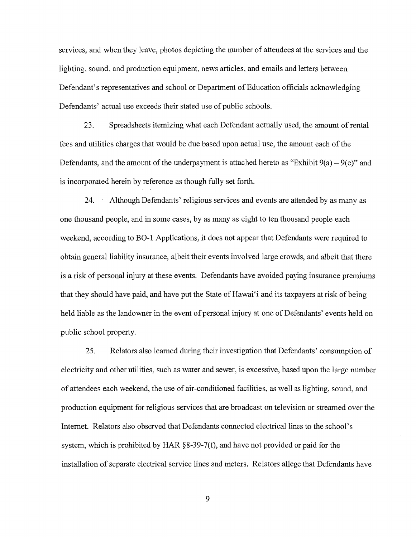services, and when they leave, photos depicting the number of attendees at the services and the lighting, sound, and production equipment, news articles, and emails and letters between Defendant's representatives and school or Department of Education officials acknowledging Defendants' actual use exceeds their stated use of public schools.

23. Spreadsheets itemizing what each Defendant actually used, the amount of rental fees and utilities charges that would be due based upon actual use, the amount each of the Defendants, and the amount of the underpayment is attached hereto as "Exhibit  $9(a) - 9(e)$ " and is incorporated herein by reference as though fully set forth.

24. Although Defendants' religious services and events are attended by as many as one thousand people, and in some cases, by as many as eight to ten thousand people each weekend, according to BO-l Applications, it does not appear that Defendants were required to obtain general liability insurance, albeit their events involved large crowds, and albeit that there is a risk of personal injury at these events. Defendants have avoided paying insurance premiums that they should have paid, and have put the State of Hawai<sup>'</sup>i and its taxpayers at risk of being held liable as the landowner in the event of personal injury at one of Defendants' events held on public school property.

25. Relators *also* learned during their investigation that Defendants' consumption of electricity and other utilities, such as water and sewer, is excessive, based upon the large number of attendees each weekend, the use of air-conditioned facilities, as well as lighting, sound, and production equipment for religious services that are broadcast on television or streamed over the Internet. Relators also observed that Defendants connected electrical lines to the school's system, which is prohibited by HAR §8-39-7(f), and have not provided or paid for the installation of separate electrical service lines and meters. Relators allege that Defendants have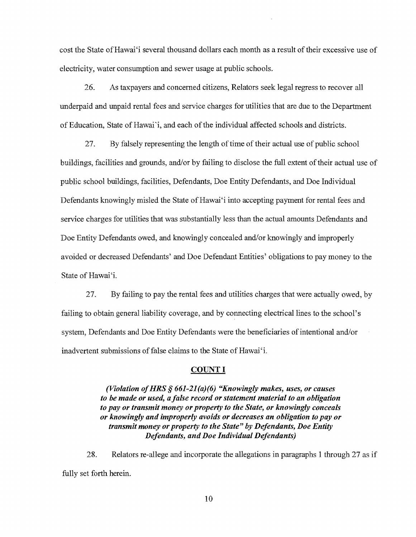cost the State ofHawai'i several thousand dollars each month as a result of their excessive use of electricity, water consumption and sewer usage at public schools.

26. As taxpayers and concerned citizens, Relators seek legal regress to recover all underpaid and unpaid rental fees and service charges for utilities that are due to the Department of Education, State of Hawai'i, and each of the individual affected schools and districts.

27. By falsely representing the length of time of their actual use of public school buildings, facilities and grounds, and/or by failing to disclose the full extent of their actual use of public school buildings, facilities, Defendants, Doe Entity Defendants, and Doe Individual Defendants knowingly misled the State of Hawai'i into accepting payment for rental fees and service charges for utilities that was substantially less than the actual amounts Defendants and Doe Entity Defendants owed, and knowingly concealed and/or knowingly and improperly avoided or decreased Defendants' and Doe Defendant Entities' obligations to pay money to the State of Hawai'i.

27. By failing to pay the rental fees and utilities charges that were actually owed, by failing to obtain general liability coverage, and by connecting electrical lines to the school's system, Defendants and Doe Entity Defendants were the beneficiaries of intentional and/or inadvertent submissions of false claims to the State of Hawai'i.

#### COUNT I

*(Violation of HRS* **§ 661-21** *(a)(6) "Knowingly makes, uses, or causes to be made or used, a false record or statement material to an obligation to payor transmit money or property to the State, or knowingly conceals or knowingly and improperly avoids or decreases an obligation to payor transmit money or property to the State" by Defendants, Doe Entity Defendants, and Doe Individual Defendants)* 

28. Relators re-allege and incorporate the allegations in paragraphs 1 through 27 as if fully set forth herein.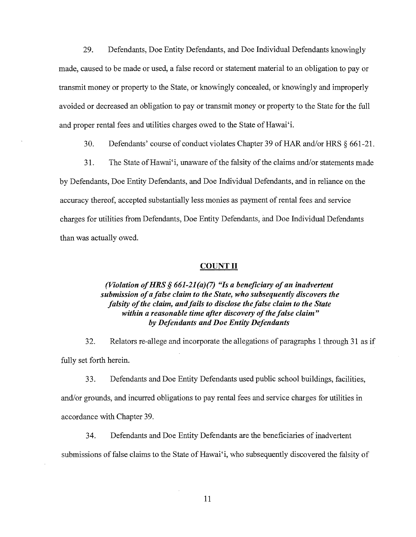29. Defendants, Doe Entity Defendants, and Doe Individual Defendants knowingly made, caused to be made or used, a false record or statement material to an obligation to payor transmit money or property to the State, or knowingly concealed, or knowingly and improperly avoided or decreased an obligation to payor transmit money or property to the State for the full and proper rental fees and utilities charges owed to the State of Hawai'i.

30. Defendants' course of conduct violates Chapter 39 of HAR and/or HRS § 661-21.

31. The State of Hawai'i, unaware of the falsity of the claims and/or statements made by Defendants, Doe Entity Defendants, and Doe Individual Defendants, and in reliance on the accuracy thereof, accepted substantially less monies as payment of rental fees and service charges for utilities from Defendants, Doe Entity Defendants, imd Doe Individual Defendants than was actually owed.

#### COUNT II

## *(Violation of HRS* § 661-21 *(a)(7) "Is a beneficiary of an inadvertent submission of a false claim to the State, who subsequently discovers the falsity of the claim, and fails to disclose the false claim to the State within a reasonable time after discovery of the false claim" by Defendants and Doe Entity Defendants*

32. Relators re-allege and incorporate the allegations of paragraphs 1 through 31 as if fully set forth herein.

33. Defendants and Doe Entity Defendants used public school buildings, facilities, and/or grounds, and incurred obligations to pay rental fees and service charges for utilities in accordance with Chapter 39.

34. Defendants and Doe Entity Defendants are the beneficiaries of inadvertent submissions of false claims to the State of Hawai'i, who subsequently discovered the falsity of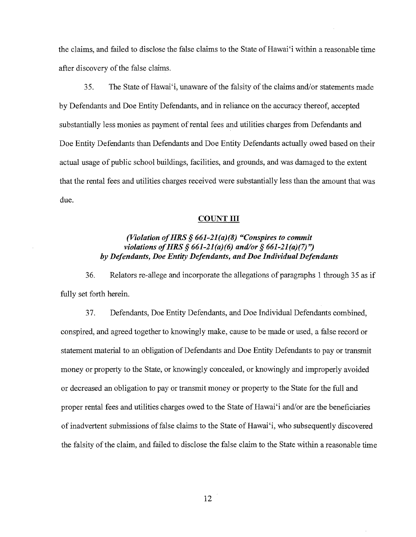the claims, and failed to disclose the false claims to the State of Hawai'i within a reasonable time after discovery of the false claims.

35. The State of Hawai'i, unaware of the falsity of the claims and/or statements made by Defendants and Doe Entity Defendants, and in reliance on the accuracy thereof, accepted substantially less monies as payment of rental fees and utilities charges from Defendants and Doe Entity Defendants than Defendants and Doe Entity Defendants actually owed based on their actual usage of public school buildings, facilities, and grounds, and was damaged to the extent that the rental fees and utilities charges received were substantially less than the amount that was due.

#### COUNT III

# *(Violation ofHRS* § *661-21(a)(8) "Conspires to commit violations of HRS* § 661-21 *(a)(6) and/or* § 661-21 *(a)(7)") by Defendants, Doe Entity Defendants, and Doe Individual Defendants*

36. Relators re-allege and incorporate the allegations of paragraphs 1 through 35 as if fully set forth herein.

37. Defendants, Doe Entity Defendants, and Doe Individual Defendants combined, conspired, and agreed together to knowingly make, cause to be made or used, a false record or statement material to an obligation of Defendants and Doe Entity Defendants to payor transmit money or property to the State, or knowingly concealed, or knowingly and improperly avoided or decreased an obligation to payor transmit money or property to the State for the full and proper rental fees and utilities charges owed to the State of Hawai'i and/or are the beneficiaries of inadvertent submissions offalse claims to the State of Hawai'i, who subsequently discovered the falsity of the claim, and failed to disclose the false claim to the State within a reasonable time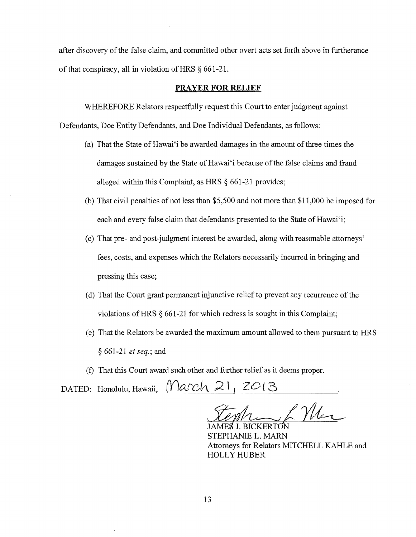after discovery of the false claim, and committed other overt acts set forth above in furtherance of that conspiracy, all in violation of HRS  $\S$  661-21.

#### **PRAYER FOR RELIEF**

WHEREFORE Relators respectfully request this Court to enter judgment against

Defendants, Doe Entity Defendants, and Doe Individual Defendants, as follows:

- (a) That the State of Hawai'i be awarded damages in the amount of three times the damages sustained by the State of Hawai'i because of the false claims and fraud alleged within this Complaint, as HRS § 661-21 provides;
- (b) That civil penalties of not less than \$5,500 and not more than \$11,000 be imposed for each and every false claim that defendants presented to the State of Hawai'i;
- (c) That pre- and post-judgment interest be awarded, along with reasonable attorneys' fees, costs, and expenses which the Relators necessarily incurred in bringing and pressing this case;
- (d) That the Court grant permanent injunctive relief to prevent any recurrence of the violations ofHRS § 661-21 for which redress is sought in this Complaint;
- (e) That the Relators be awarded the maximum amount allowed to them pursuant to HRS § 661-21 *et seq.;* and
- (f) That this Court award such other and further relief as it deems proper.

DATED: Honolulu, Hawaii,  $N |$ arch  $21_1 2013$ 

Stephin / Mer

STEPHANIE L. MARN Attorneys for Relators MITCHELL KAHLE and HOLLY HUBER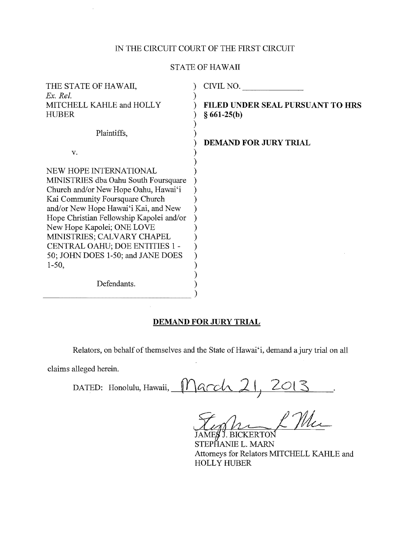# IN THE CIRCUIT COURT OF THE FIRST CIRCUIT

## STATE OF HAWAII

| THE STATE OF HAWAII,<br>Ex. Rel.                                                                                                                                                                                                                                                                                                                                                           | CIVIL NO.                                         |
|--------------------------------------------------------------------------------------------------------------------------------------------------------------------------------------------------------------------------------------------------------------------------------------------------------------------------------------------------------------------------------------------|---------------------------------------------------|
| MITCHELL KAHLE and HOLLY<br><b>HUBER</b>                                                                                                                                                                                                                                                                                                                                                   | FILED UNDER SEAL PURSUANT TO HRS<br>$§ 661-25(b)$ |
| Plaintiffs.<br>V.                                                                                                                                                                                                                                                                                                                                                                          | <b>DEMAND FOR JURY TRIAL</b>                      |
| NEW HOPE INTERNATIONAL<br>MINISTRIES dba Oahu South Foursquare<br>Church and/or New Hope Oahu, Hawai'i<br>Kai Community Foursquare Church<br>and/or New Hope Hawai'i Kai, and New<br>Hope Christian Fellowship Kapolei and/or<br>New Hope Kapolei; ONE LOVE<br>MINISTRIES; CALVARY CHAPEL<br>CENTRAL OAHU; DOE ENTITIES 1 -<br>50; JOHN DOES 1-50; and JANE DOES<br>$1-50,$<br>Defendants. |                                                   |

### **DEMAND FOR JURY TRIAL**

Relators, on behalf of themselves and the State of Hawai'i, demand a jury trial on all

claims alleged herein.

 $\Box$ DATED: Honolulu, Hawaii,  $Macch$  21, 2013

XING LANDER THE Attorneys for Relators MITCHELL KAHLE and HOLLY HUBER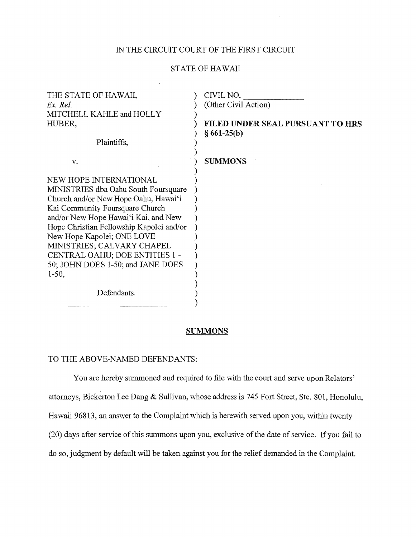## IN THE CIRCUIT COURT OF THE FIRST CIRCUIT

## STATE OF HAWAII

| THE STATE OF HAWAII,                     | CIVIL NO.                        |
|------------------------------------------|----------------------------------|
| Ex Rel                                   | (Other Civil Action)             |
| MITCHELL KAHLE and HOLLY                 |                                  |
| HUBER,                                   | FILED UNDER SEAL PURSUANT TO HRS |
|                                          | $§ 661-25(b)$                    |
| Plaintiffs,                              |                                  |
|                                          |                                  |
| v.                                       | <b>SUMMONS</b>                   |
| NEW HOPE INTERNATIONAL                   |                                  |
| MINISTRIES dba Oahu South Foursquare     |                                  |
| Church and/or New Hope Oahu, Hawai'i     |                                  |
| Kai Community Foursquare Church          |                                  |
| and/or New Hope Hawai'i Kai, and New     |                                  |
| Hope Christian Fellowship Kapolei and/or |                                  |
| New Hope Kapolei; ONE LOVE               |                                  |
| MINISTRIES; CALVARY CHAPEL               |                                  |
| CENTRAL OAHU; DOE ENTITIES 1 -           |                                  |
| 50; JOHN DOES 1-50; and JANE DOES        |                                  |
| $1-50,$                                  |                                  |
|                                          |                                  |
| Defendants.                              |                                  |

## **SUMMONS**

#### TO THE ABOVE-NAMED DEFENDANTS:

------------------------)

You are hereby summoned and required to file with the court and serve upon Relators' attorneys, Bickerton Lee Dang & Sullivan, whose address is 745 Fort Street, Ste. 801, Honolulu, Hawaii 96813, an answer to the Complaint which is herewith served upon you, within twenty (20) days after service of this summons upon you, exclusive of the date of service. If you fail to do so, judgment by default will be taken against you for the relief demanded in the Complaint.